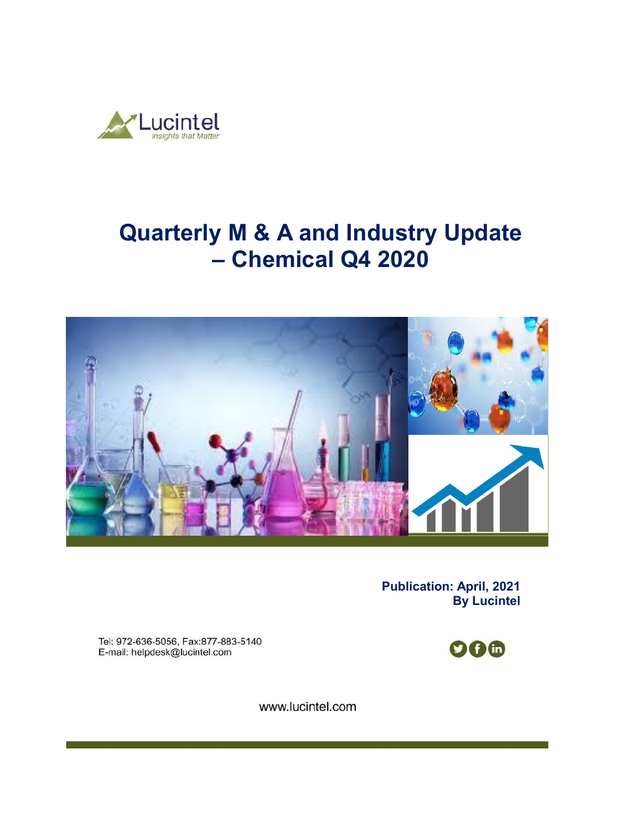

# **Quarterly M & A and Industry Update – Chemical Q4 2020**



**Publication: April, 2021 By Lucintel** 

Tel: 972-636-5056, Fax:877-883-5140 E-mail: helpdesk@lucintel.com

**006** 

www.lucintel.com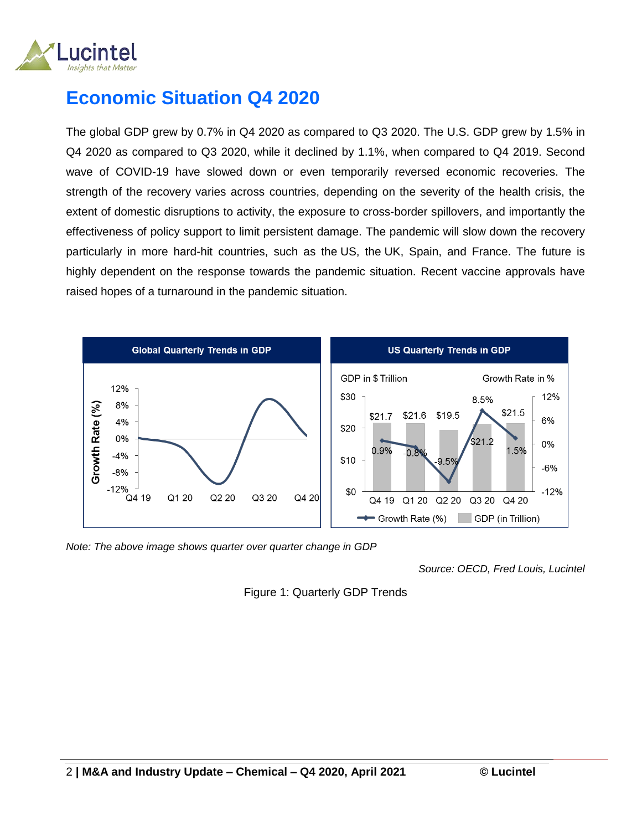

# **Economic Situation Q4 2020**

The global GDP grew by 0.7% in Q4 2020 as compared to Q3 2020. The U.S. GDP grew by 1.5% in Q4 2020 as compared to Q3 2020, while it declined by 1.1%, when compared to Q4 2019. Second wave of COVID-19 have slowed down or even temporarily reversed economic recoveries. The strength of the recovery varies across countries, depending on the severity of the health crisis, the extent of domestic disruptions to activity, the exposure to cross-border spillovers, and importantly the effectiveness of policy support to limit persistent damage. The pandemic will slow down the recovery particularly in more hard-hit countries, such as the US, the UK, Spain, and France. The future is highly dependent on the response towards the pandemic situation. Recent vaccine approvals have raised hopes of a turnaround in the pandemic situation.



*Note: The above image shows quarter over quarter change in GDP* 

*Source: OECD, Fred Louis, Lucintel*

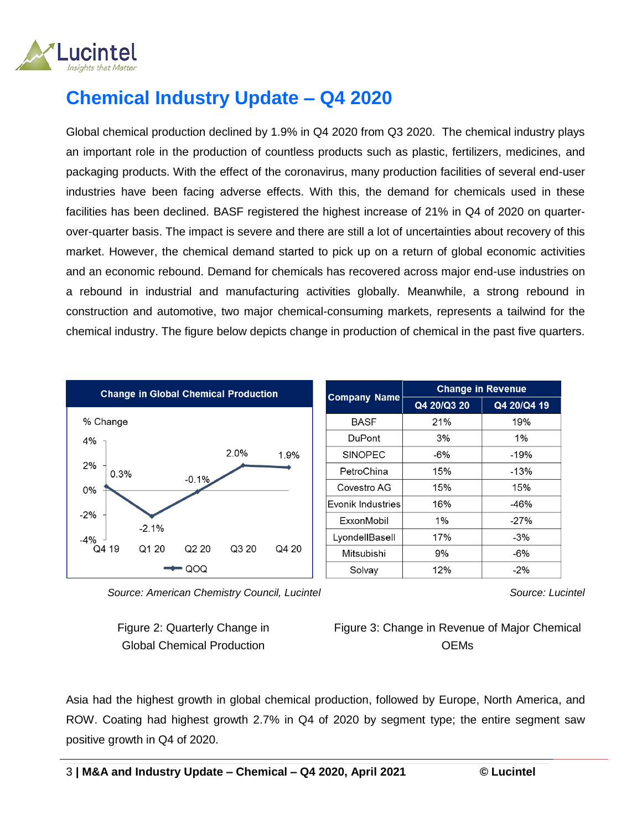

# **Chemical Industry Update – Q4 2020**

Global chemical production declined by 1.9% in Q4 2020 from Q3 2020. The chemical industry plays an important role in the production of countless products such as plastic, fertilizers, medicines, and packaging products. With the effect of the coronavirus, many production facilities of several end-user industries have been facing adverse effects. With this, the demand for chemicals used in these facilities has been declined. BASF registered the highest increase of 21% in Q4 of 2020 on quarterover-quarter basis. The impact is severe and there are still a lot of uncertainties about recovery of this market. However, the chemical demand started to pick up on a return of global economic activities and an economic rebound. Demand for chemicals has recovered across major end-use industries on a rebound in industrial and manufacturing activities globally. Meanwhile, a strong rebound in construction and automotive, two major chemical-consuming markets, represents a tailwind for the chemical industry. The figure below depicts change in production of chemical in the past five quarters.



 *Source: American Chemistry Council, Lucintel*

Figure 2: Quarterly Change in Global Chemical Production

Figure 3: Change in Revenue of Major Chemical **OEMs** 

Asia had the highest growth in global chemical production, followed by Europe, North America, and ROW. Coating had highest growth 2.7% in Q4 of 2020 by segment type; the entire segment saw positive growth in Q4 of 2020.

*Source: Lucintel*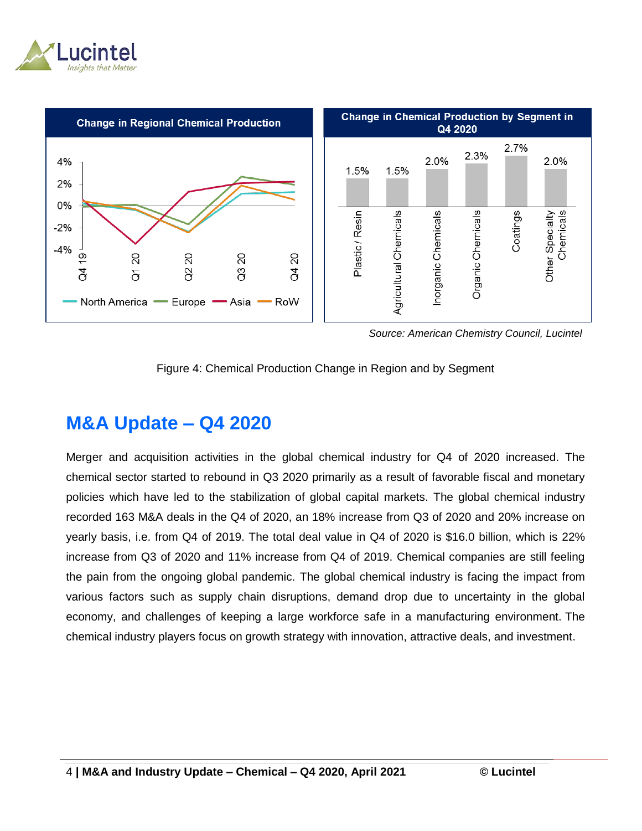



 *Source: American Chemistry Council, Lucintel*



### **M&A Update – Q4 2020**

Merger and acquisition activities in the global chemical industry for Q4 of 2020 increased. The chemical sector started to rebound in Q3 2020 primarily as a result of favorable fiscal and monetary policies which have led to the stabilization of global capital markets. The global chemical industry recorded 163 M&A deals in the Q4 of 2020, an 18% increase from Q3 of 2020 and 20% increase on yearly basis, i.e. from Q4 of 2019. The total deal value in Q4 of 2020 is \$16.0 billion, which is 22% increase from Q3 of 2020 and 11% increase from Q4 of 2019. Chemical companies are still feeling the pain from the ongoing global pandemic. The global chemical industry is facing the impact from various factors such as supply chain disruptions, demand drop due to uncertainty in the global economy, and challenges of keeping a large workforce safe in a manufacturing environment. The chemical industry players focus on growth strategy with innovation, attractive deals, and investment.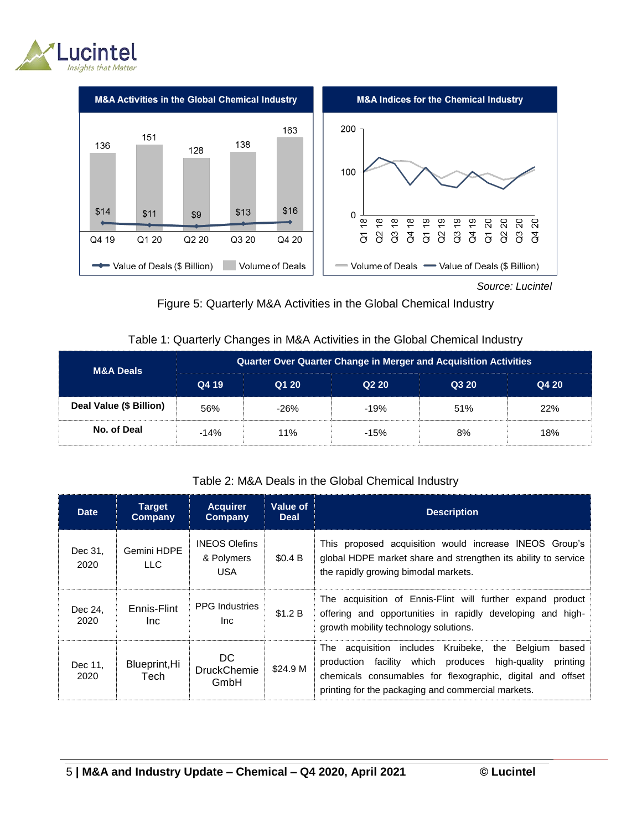



 *Source: Lucintel*

#### Figure 5: Quarterly M&A Activities in the Global Chemical Industry

#### Table 1: Quarterly Changes in M&A Activities in the Global Chemical Industry

| <b>M&amp;A Deals</b>    | <b>Quarter Over Quarter Change in Merger and Acquisition Activities</b> |        |        |       |       |  |  |
|-------------------------|-------------------------------------------------------------------------|--------|--------|-------|-------|--|--|
|                         | Q4 19                                                                   | Q1 20  | Q220   | Q3 20 | Q4 20 |  |  |
| Deal Value (\$ Billion) | 56%                                                                     | $-26%$ | $-19%$ | 51%   | 22%   |  |  |
| No. of Deal             | $-14%$                                                                  | 11%    | $-15%$ | 8%    | 18%   |  |  |

#### Table 2: M&A Deals in the Global Chemical Industry

| <b>Date</b>     | <b>Target</b><br>Company | <b>Acquirer</b><br>Company                       | Value of<br><b>Deal</b> | <b>Description</b>                                                                                                                                                                                                                                              |  |
|-----------------|--------------------------|--------------------------------------------------|-------------------------|-----------------------------------------------------------------------------------------------------------------------------------------------------------------------------------------------------------------------------------------------------------------|--|
| Dec 31.<br>2020 | Gemini HDPE<br>LLC.      | <b>INEOS Olefins</b><br>& Polymers<br><b>USA</b> | \$0.4 B                 | This proposed acquisition would increase INEOS Group's<br>global HDPE market share and strengthen its ability to service<br>the rapidly growing bimodal markets.                                                                                                |  |
| Dec 24.<br>2020 | Ennis-Flint<br>Inc.      | <b>PPG</b> Industries<br>Inc.                    | \$1.2 B                 | The acquisition of Ennis-Flint will further expand product<br>offering and opportunities in rapidly developing and high-<br>growth mobility technology solutions.                                                                                               |  |
| Dec 11,<br>2020 | Blueprint, Hi<br>Tech    | DC.<br><b>DruckChemie</b><br>GmbH                | \$24.9 M                | includes<br>Kruibeke.<br>the Belgium<br>The acquisition<br>based<br>which<br>produces<br>high-guality<br>facility<br>production<br>printing<br>chemicals consumables for flexographic, digital and offset<br>printing for the packaging and commercial markets. |  |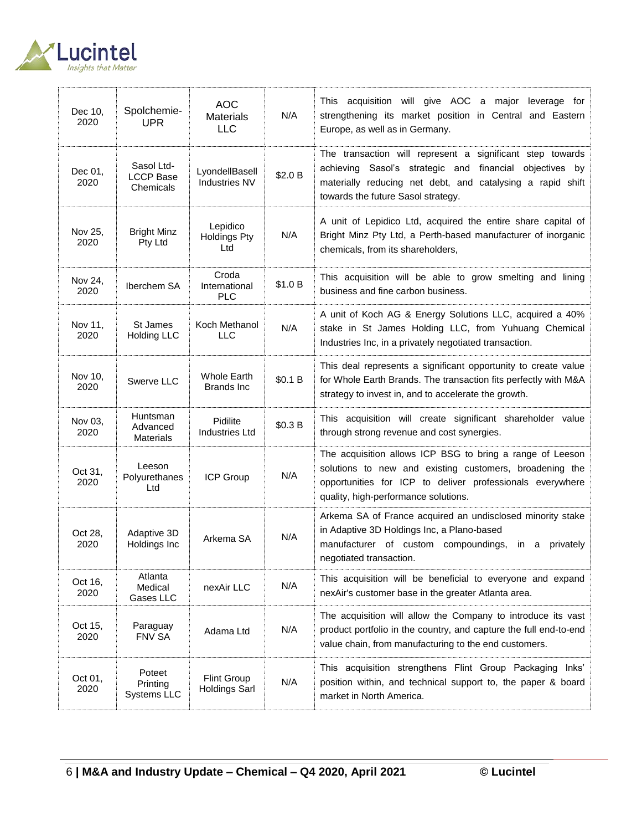

| Dec 10,<br>2020 | Spolchemie-<br><b>UPR</b>                   | <b>AOC</b><br>Materials<br><b>LLC</b>   | N/A     | This acquisition will give AOC a major leverage for<br>strengthening its market position in Central and Eastern<br>Europe, as well as in Germany.                                                                         |
|-----------------|---------------------------------------------|-----------------------------------------|---------|---------------------------------------------------------------------------------------------------------------------------------------------------------------------------------------------------------------------------|
| Dec 01,<br>2020 | Sasol Ltd-<br><b>LCCP Base</b><br>Chemicals | LyondellBasell<br>Industries NV         | \$2.0 B | The transaction will represent a significant step towards<br>achieving Sasol's strategic and financial objectives by<br>materially reducing net debt, and catalysing a rapid shift<br>towards the future Sasol strategy.  |
| Nov 25,<br>2020 | <b>Bright Minz</b><br>Pty Ltd               | Lepidico<br><b>Holdings Pty</b><br>Ltd  | N/A     | A unit of Lepidico Ltd, acquired the entire share capital of<br>Bright Minz Pty Ltd, a Perth-based manufacturer of inorganic<br>chemicals, from its shareholders,                                                         |
| Nov 24,<br>2020 | Iberchem SA                                 | Croda<br>International<br><b>PLC</b>    | \$1.0 B | This acquisition will be able to grow smelting and lining<br>business and fine carbon business.                                                                                                                           |
| Nov 11,<br>2020 | St James<br><b>Holding LLC</b>              | Koch Methanol<br>LLC                    | N/A     | A unit of Koch AG & Energy Solutions LLC, acquired a 40%<br>stake in St James Holding LLC, from Yuhuang Chemical<br>Industries Inc, in a privately negotiated transaction.                                                |
| Nov 10,<br>2020 | Swerve LLC                                  | <b>Whole Earth</b><br><b>Brands Inc</b> | \$0.1 B | This deal represents a significant opportunity to create value<br>for Whole Earth Brands. The transaction fits perfectly with M&A<br>strategy to invest in, and to accelerate the growth.                                 |
| Nov 03,<br>2020 | Huntsman<br>Advanced<br><b>Materials</b>    | Pidilite<br><b>Industries Ltd</b>       | \$0.3 B | This acquisition will create significant shareholder value<br>through strong revenue and cost synergies.                                                                                                                  |
| Oct 31,<br>2020 | Leeson<br>Polyurethanes<br>Ltd              | ICP Group                               | N/A     | The acquisition allows ICP BSG to bring a range of Leeson<br>solutions to new and existing customers, broadening the<br>opportunities for ICP to deliver professionals everywhere<br>quality, high-performance solutions. |
| Oct 28,<br>2020 | Adaptive 3D<br>Holdings Inc                 | Arkema SA                               | N/A     | Arkema SA of France acquired an undisclosed minority stake<br>in Adaptive 3D Holdings Inc, a Plano-based<br>manufacturer of custom compoundings, in a<br>privately<br>negotiated transaction.                             |
| Oct 16,<br>2020 | Atlanta<br>Medical<br>Gases LLC             | nexAir LLC                              | N/A     | This acquisition will be beneficial to everyone and expand<br>nexAir's customer base in the greater Atlanta area.                                                                                                         |
| Oct 15,<br>2020 | Paraguay<br><b>FNV SA</b>                   | Adama Ltd                               | N/A     | The acquisition will allow the Company to introduce its vast<br>product portfolio in the country, and capture the full end-to-end<br>value chain, from manufacturing to the end customers.                                |
| Oct 01,<br>2020 | Poteet<br>Printing<br>Systems LLC           | Flint Group<br><b>Holdings Sarl</b>     | N/A     | This acquisition strengthens Flint Group Packaging<br>lnks'<br>position within, and technical support to, the paper & board<br>market in North America.                                                                   |